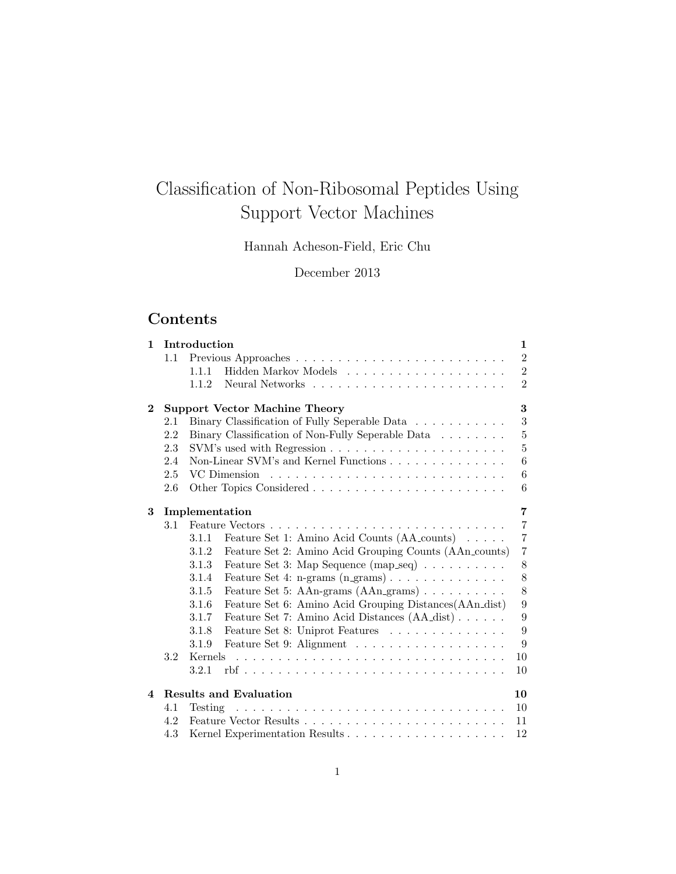# Classification of Non-Ribosomal Peptides Using Support Vector Machines

Hannah Acheson-Field, Eric Chu

December 2013

# Contents

| $\mathbf{1}$ | Introduction<br>1 |                                                                                          |  |  |
|--------------|-------------------|------------------------------------------------------------------------------------------|--|--|
|              | 1.1               | $\overline{2}$                                                                           |  |  |
|              |                   | $\overline{2}$<br>1.1.1                                                                  |  |  |
|              |                   | $\overline{2}$<br>1.1.2                                                                  |  |  |
| $\bf{2}$     |                   | 3<br><b>Support Vector Machine Theory</b>                                                |  |  |
|              | 2.1               | 3<br>Binary Classification of Fully Seperable Data                                       |  |  |
|              | 2.2               | $\overline{5}$<br>Binary Classification of Non-Fully Seperable Data                      |  |  |
|              | 2.3               | $\overline{5}$                                                                           |  |  |
|              | 2.4               | 6<br>Non-Linear SVM's and Kernel Functions                                               |  |  |
|              | 2.5               | $\,6\,$<br>VC Dimension                                                                  |  |  |
|              | 2.6               | 6                                                                                        |  |  |
|              |                   |                                                                                          |  |  |
| 3            |                   | $\overline{7}$<br>Implementation                                                         |  |  |
|              | 3.1               | $\overline{7}$                                                                           |  |  |
|              |                   | $\overline{7}$<br>Feature Set 1: Amino Acid Counts (AA_counts)<br>3.1.1                  |  |  |
|              |                   | $\overline{7}$<br>Feature Set 2: Amino Acid Grouping Counts (AAn_counts)<br>3.1.2        |  |  |
|              |                   | Feature Set 3: Map Sequence (map_seq)<br>8<br>3.1.3                                      |  |  |
|              |                   | 8<br>Feature Set 4: n-grams $(n_{\text{-grams}}) \dots \dots \dots \dots \dots$<br>3.1.4 |  |  |
|              |                   | 8<br>Feature Set 5: AAn-grams $(AAn_grams) \dots \dots \dots$<br>3.1.5                   |  |  |
|              |                   | $\overline{9}$<br>Feature Set 6: Amino Acid Grouping Distances (AAn_dist)<br>3.1.6       |  |  |
|              |                   | 9<br>Feature Set 7: Amino Acid Distances (AA_dist)<br>3.1.7                              |  |  |
|              |                   | 9<br>Feature Set 8: Uniprot Features<br>3.1.8                                            |  |  |
|              |                   | 9<br>Feature Set 9: Alignment<br>3.1.9                                                   |  |  |
|              | 3.2               | 10<br>Kernels                                                                            |  |  |
|              |                   | 3.2.1<br>10                                                                              |  |  |
| $\mathbf 4$  |                   | <b>Results and Evaluation</b><br>10                                                      |  |  |
|              | 4.1               | 10<br>Testing                                                                            |  |  |
|              | 4.2               | 11                                                                                       |  |  |
|              | 4.3               | 12                                                                                       |  |  |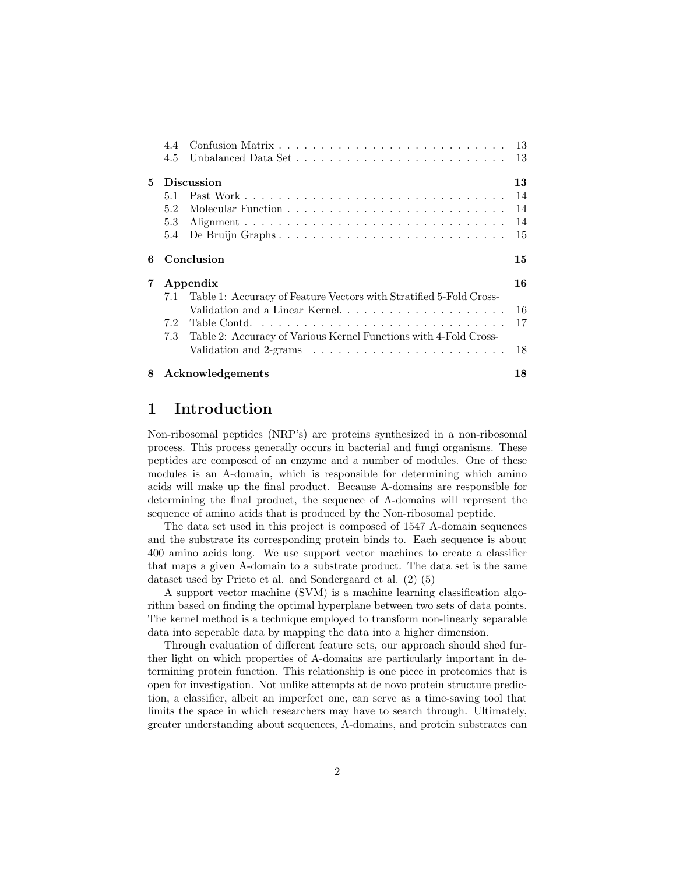|                            | 4.4                                                                       |                                                                              |    |
|----------------------------|---------------------------------------------------------------------------|------------------------------------------------------------------------------|----|
|                            | 4.5                                                                       | Unbalanced Data Set                                                          | 13 |
| 5.                         |                                                                           | <b>Discussion</b>                                                            | 13 |
|                            | 5.1                                                                       |                                                                              | 14 |
|                            | 5.2                                                                       |                                                                              | 14 |
|                            | 5.3                                                                       |                                                                              | 14 |
|                            | 5.4                                                                       | De Bruijn Graphs                                                             | 15 |
| 6                          |                                                                           | Conclusion                                                                   | 15 |
| $\overline{7}$<br>Appendix |                                                                           |                                                                              | 16 |
|                            | Table 1: Accuracy of Feature Vectors with Stratified 5-Fold Cross-<br>7.1 |                                                                              |    |
|                            |                                                                           | Validation and a Linear Kernel                                               | 16 |
|                            | 7.2                                                                       |                                                                              | 17 |
|                            | 7.3                                                                       | Table 2: Accuracy of Various Kernel Functions with 4-Fold Cross-             |    |
|                            |                                                                           | Validation and $2$ -grams $\ldots \ldots \ldots \ldots \ldots \ldots \ldots$ | 18 |
| 8                          |                                                                           | Acknowledgements                                                             | 18 |

# 1 Introduction

Non-ribosomal peptides (NRP's) are proteins synthesized in a non-ribosomal process. This process generally occurs in bacterial and fungi organisms. These peptides are composed of an enzyme and a number of modules. One of these modules is an A-domain, which is responsible for determining which amino acids will make up the final product. Because A-domains are responsible for determining the final product, the sequence of A-domains will represent the sequence of amino acids that is produced by the Non-ribosomal peptide.

The data set used in this project is composed of 1547 A-domain sequences and the substrate its corresponding protein binds to. Each sequence is about 400 amino acids long. We use support vector machines to create a classifier that maps a given A-domain to a substrate product. The data set is the same dataset used by Prieto et al. and Sondergaard et al. (2) (5)

A support vector machine (SVM) is a machine learning classification algorithm based on finding the optimal hyperplane between two sets of data points. The kernel method is a technique employed to transform non-linearly separable data into seperable data by mapping the data into a higher dimension.

Through evaluation of different feature sets, our approach should shed further light on which properties of A-domains are particularly important in determining protein function. This relationship is one piece in proteomics that is open for investigation. Not unlike attempts at de novo protein structure prediction, a classifier, albeit an imperfect one, can serve as a time-saving tool that limits the space in which researchers may have to search through. Ultimately, greater understanding about sequences, A-domains, and protein substrates can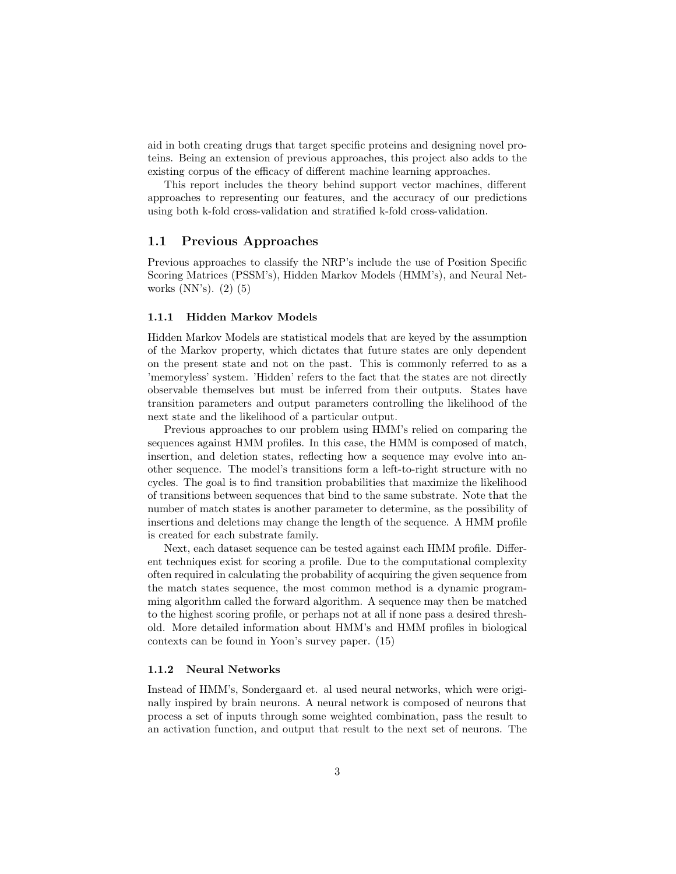aid in both creating drugs that target specific proteins and designing novel proteins. Being an extension of previous approaches, this project also adds to the existing corpus of the efficacy of different machine learning approaches.

This report includes the theory behind support vector machines, different approaches to representing our features, and the accuracy of our predictions using both k-fold cross-validation and stratified k-fold cross-validation.

## 1.1 Previous Approaches

Previous approaches to classify the NRP's include the use of Position Specific Scoring Matrices (PSSM's), Hidden Markov Models (HMM's), and Neural Networks (NN's). (2) (5)

#### 1.1.1 Hidden Markov Models

Hidden Markov Models are statistical models that are keyed by the assumption of the Markov property, which dictates that future states are only dependent on the present state and not on the past. This is commonly referred to as a 'memoryless' system. 'Hidden' refers to the fact that the states are not directly observable themselves but must be inferred from their outputs. States have transition parameters and output parameters controlling the likelihood of the next state and the likelihood of a particular output.

Previous approaches to our problem using HMM's relied on comparing the sequences against HMM profiles. In this case, the HMM is composed of match, insertion, and deletion states, reflecting how a sequence may evolve into another sequence. The model's transitions form a left-to-right structure with no cycles. The goal is to find transition probabilities that maximize the likelihood of transitions between sequences that bind to the same substrate. Note that the number of match states is another parameter to determine, as the possibility of insertions and deletions may change the length of the sequence. A HMM profile is created for each substrate family.

Next, each dataset sequence can be tested against each HMM profile. Different techniques exist for scoring a profile. Due to the computational complexity often required in calculating the probability of acquiring the given sequence from the match states sequence, the most common method is a dynamic programming algorithm called the forward algorithm. A sequence may then be matched to the highest scoring profile, or perhaps not at all if none pass a desired threshold. More detailed information about HMM's and HMM profiles in biological contexts can be found in Yoon's survey paper. (15)

#### 1.1.2 Neural Networks

Instead of HMM's, Sondergaard et. al used neural networks, which were originally inspired by brain neurons. A neural network is composed of neurons that process a set of inputs through some weighted combination, pass the result to an activation function, and output that result to the next set of neurons. The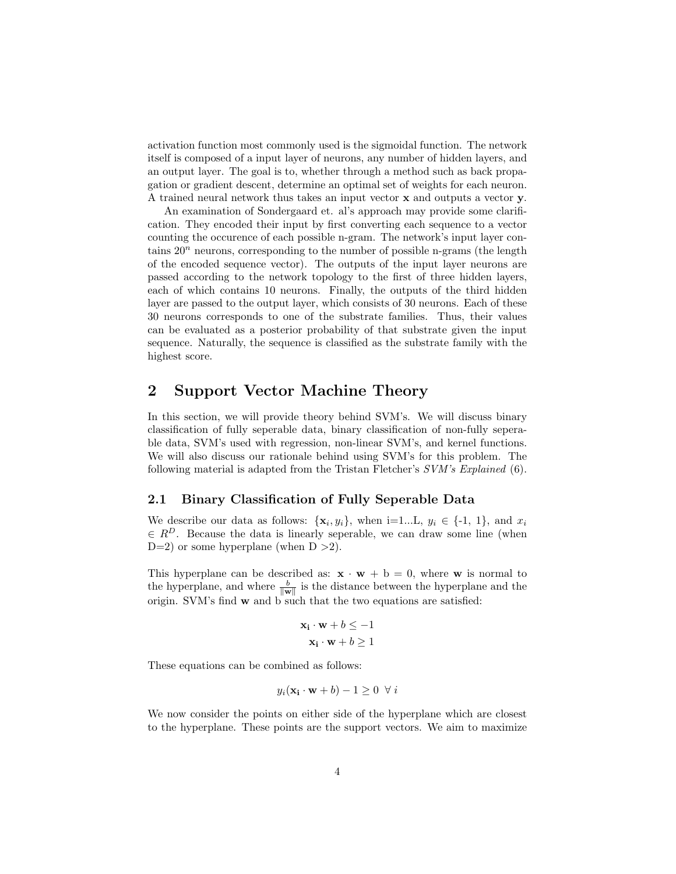activation function most commonly used is the sigmoidal function. The network itself is composed of a input layer of neurons, any number of hidden layers, and an output layer. The goal is to, whether through a method such as back propagation or gradient descent, determine an optimal set of weights for each neuron. A trained neural network thus takes an input vector x and outputs a vector y.

An examination of Sondergaard et. al's approach may provide some clarification. They encoded their input by first converting each sequence to a vector counting the occurence of each possible n-gram. The network's input layer contains  $20<sup>n</sup>$  neurons, corresponding to the number of possible n-grams (the length of the encoded sequence vector). The outputs of the input layer neurons are passed according to the network topology to the first of three hidden layers, each of which contains 10 neurons. Finally, the outputs of the third hidden layer are passed to the output layer, which consists of 30 neurons. Each of these 30 neurons corresponds to one of the substrate families. Thus, their values can be evaluated as a posterior probability of that substrate given the input sequence. Naturally, the sequence is classified as the substrate family with the highest score.

## 2 Support Vector Machine Theory

In this section, we will provide theory behind SVM's. We will discuss binary classification of fully seperable data, binary classification of non-fully seperable data, SVM's used with regression, non-linear SVM's, and kernel functions. We will also discuss our rationale behind using SVM's for this problem. The following material is adapted from the Tristan Fletcher's SVM's Explained (6).

## 2.1 Binary Classification of Fully Seperable Data

We describe our data as follows:  $\{x_i, y_i\}$ , when i=1...L,  $y_i \in \{-1, 1\}$ , and  $x_i$  $\in R^D$ . Because the data is linearly seperable, we can draw some line (when D=2) or some hyperplane (when  $D > 2$ ).

This hyperplane can be described as:  $\mathbf{x} \cdot \mathbf{w} + \mathbf{b} = 0$ , where **w** is normal to the hyperplane, and where  $\frac{b}{\|\mathbf{w}\|}$  is the distance between the hyperplane and the origin. SVM's find  $\bf{w}$  and  $\bf{b}$  such that the two equations are satisfied:

$$
\mathbf{x_i} \cdot \mathbf{w} + b \le -1
$$

$$
\mathbf{x_i} \cdot \mathbf{w} + b \ge 1
$$

These equations can be combined as follows:

$$
y_i(\mathbf{x}_i \cdot \mathbf{w} + b) - 1 \ge 0 \ \forall i
$$

We now consider the points on either side of the hyperplane which are closest to the hyperplane. These points are the support vectors. We aim to maximize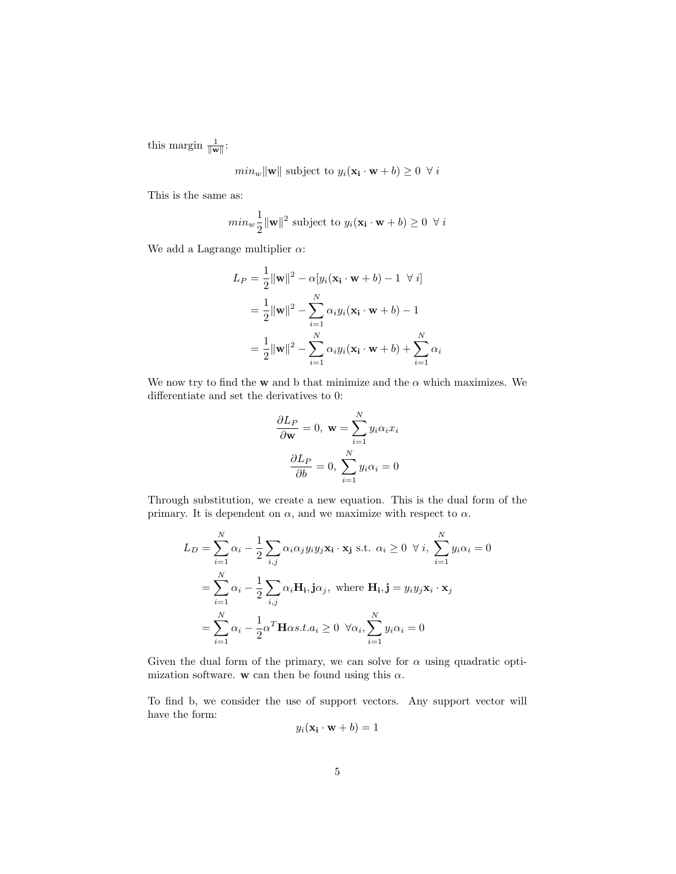this margin  $\frac{1}{\|\mathbf{w}\|}$ :

$$
min_w ||\mathbf{w}||
$$
 subject to  $y_i(\mathbf{x_i} \cdot \mathbf{w} + b) \ge 0 \ \forall i$ 

This is the same as:

$$
min_w \frac{1}{2} ||\mathbf{w}||^2 \text{ subject to } y_i(\mathbf{x}_i \cdot \mathbf{w} + b) \ge 0 \ \forall i
$$

We add a Lagrange multiplier  $\alpha$ :

$$
L_P = \frac{1}{2} ||\mathbf{w}||^2 - \alpha [y_i(\mathbf{x}_i \cdot \mathbf{w} + b) - 1 \quad \forall i]
$$
  
= 
$$
\frac{1}{2} ||\mathbf{w}||^2 - \sum_{i=1}^N \alpha_i y_i(\mathbf{x}_i \cdot \mathbf{w} + b) - 1
$$
  
= 
$$
\frac{1}{2} ||\mathbf{w}||^2 - \sum_{i=1}^N \alpha_i y_i(\mathbf{x}_i \cdot \mathbf{w} + b) + \sum_{i=1}^N \alpha_i
$$

We now try to find the **w** and b that minimize and the  $\alpha$  which maximizes. We differentiate and set the derivatives to 0:

$$
\frac{\partial L_P}{\partial \mathbf{w}} = 0, \ \mathbf{w} = \sum_{i=1}^N y_i \alpha_i x_i
$$

$$
\frac{\partial L_P}{\partial b} = 0, \ \sum_{i=1}^N y_i \alpha_i = 0
$$

Through substitution, we create a new equation. This is the dual form of the primary. It is dependent on  $\alpha$ , and we maximize with respect to  $\alpha$ .

$$
L_D = \sum_{i=1}^{N} \alpha_i - \frac{1}{2} \sum_{i,j} \alpha_i \alpha_j y_i y_j \mathbf{x_i} \cdot \mathbf{x_j} \text{ s.t. } \alpha_i \ge 0 \ \forall i, \ \sum_{i=1}^{N} y_i \alpha_i = 0
$$
  
= 
$$
\sum_{i=1}^{N} \alpha_i - \frac{1}{2} \sum_{i,j} \alpha_i \mathbf{H_i}, \mathbf{j} \alpha_j, \text{ where } \mathbf{H_i}, \mathbf{j} = y_i y_j \mathbf{x_i} \cdot \mathbf{x_j}
$$
  
= 
$$
\sum_{i=1}^{N} \alpha_i - \frac{1}{2} \alpha^T \mathbf{H} \alpha s.t. \alpha_i \ge 0 \ \forall \alpha_i, \sum_{i=1}^{N} y_i \alpha_i = 0
$$

Given the dual form of the primary, we can solve for  $\alpha$  using quadratic optimization software. w can then be found using this  $\alpha$ .

To find b, we consider the use of support vectors. Any support vector will have the form:

$$
y_i(\mathbf{x}_i \cdot \mathbf{w} + b) = 1
$$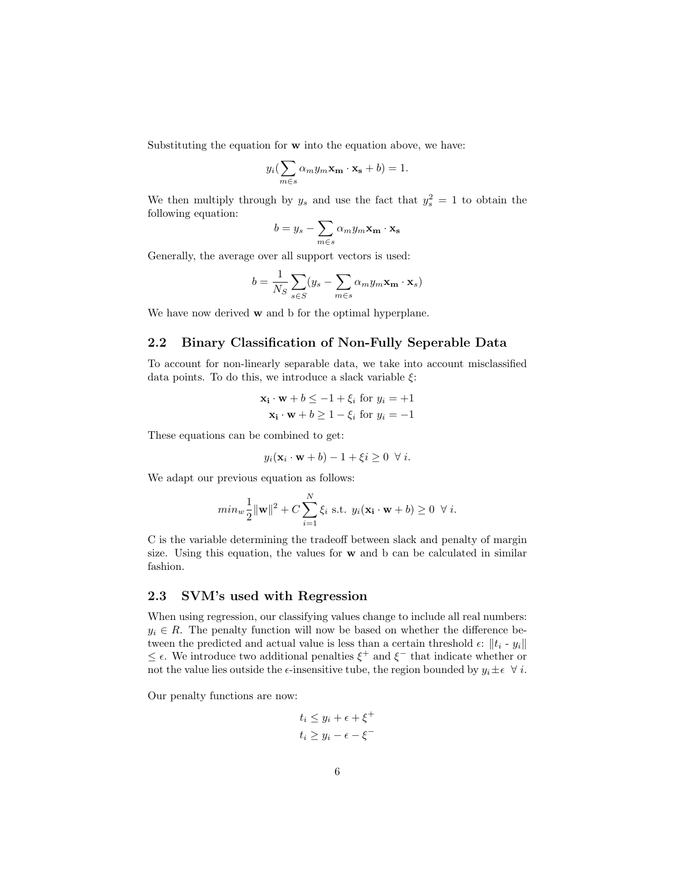Substituting the equation for w into the equation above, we have:

$$
y_i\left(\sum_{m\in s}\alpha_my_m\mathbf{x_m}\cdot\mathbf{x_s}+b\right)=1.
$$

We then multiply through by  $y_s$  and use the fact that  $y_s^2 = 1$  to obtain the following equation:

$$
b = y_s - \sum_{m \in s} \alpha_m y_m \mathbf{x_m} \cdot \mathbf{x_s}
$$

Generally, the average over all support vectors is used:  $\overline{1}$ 

$$
b = \frac{1}{N_S} \sum_{s \in S} (y_s - \sum_{m \in s} \alpha_m y_m \mathbf{x_m} \cdot \mathbf{x}_s)
$$

We have now derived **w** and b for the optimal hyperplane.

## 2.2 Binary Classification of Non-Fully Seperable Data

To account for non-linearly separable data, we take into account misclassified data points. To do this, we introduce a slack variable  $\xi$ :

$$
\mathbf{x_i} \cdot \mathbf{w} + b \le -1 + \xi_i \text{ for } y_i = +1
$$
  

$$
\mathbf{x_i} \cdot \mathbf{w} + b \ge 1 - \xi_i \text{ for } y_i = -1
$$

These equations can be combined to get:

$$
y_i(\mathbf{x}_i \cdot \mathbf{w} + b) - 1 + \xi i \ge 0 \ \forall i.
$$

We adapt our previous equation as follows:

$$
min_{w} \frac{1}{2} ||\mathbf{w}||^{2} + C \sum_{i=1}^{N} \xi_{i} \text{ s.t. } y_{i}(\mathbf{x}_{i} \cdot \mathbf{w} + b) \ge 0 \ \ \forall \ i.
$$

C is the variable determining the tradeoff between slack and penalty of margin size. Using this equation, the values for  $w$  and  $b$  can be calculated in similar fashion.

## 2.3 SVM's used with Regression

When using regression, our classifying values change to include all real numbers:  $y_i \in R$ . The penalty function will now be based on whether the difference between the predicted and actual value is less than a certain threshold  $\epsilon$ :  $||t_i - y_i||$  $\leq$  ∈. We introduce two additional penalties  $\xi^+$  and  $\xi^-$  that indicate whether or not the value lies outside the  $\epsilon$ -insensitive tube, the region bounded by  $y_i \pm \epsilon \ \ \forall \ i$ .

Our penalty functions are now:

$$
t_i \le y_i + \epsilon + \xi^+
$$
  

$$
t_i \ge y_i - \epsilon - \xi^-
$$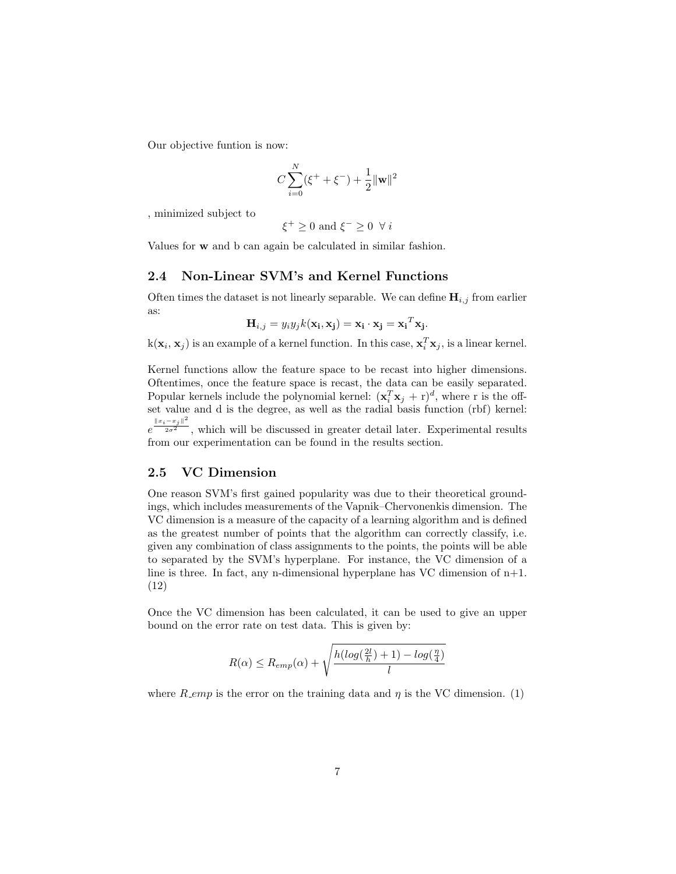Our objective funtion is now:

$$
C\sum_{i=0}^{N} (\xi^{+} + \xi^{-}) + \frac{1}{2} ||\mathbf{w}||^{2}
$$

, minimized subject to

$$
\xi^+ \ge 0 \text{ and } \xi^- \ge 0 \ \forall i
$$

Values for w and b can again be calculated in similar fashion.

### 2.4 Non-Linear SVM's and Kernel Functions

Often times the dataset is not linearly separable. We can define  $H_{i,j}$  from earlier as:

$$
\mathbf{H}_{i,j} = y_i y_j k(\mathbf{x_i}, \mathbf{x_j}) = \mathbf{x_i} \cdot \mathbf{x_j} = \mathbf{x_i}^T \mathbf{x_j}.
$$

 $k(\mathbf{x}_i, \mathbf{x}_j)$  is an example of a kernel function. In this case,  $\mathbf{x}_i^T \mathbf{x}_j$ , is a linear kernel.

Kernel functions allow the feature space to be recast into higher dimensions. Oftentimes, once the feature space is recast, the data can be easily separated. Popular kernels include the polynomial kernel:  $(\mathbf{x}_i^T \mathbf{x}_j + \mathbf{r})^d$ , where r is the offset value and d is the degree, as well as the radial basis function (rbf) kernel:  $e^{\frac{||x_i-x_j||^2}{2\sigma^2}}$ , which will be discussed in greater detail later. Experimental results

from our experimentation can be found in the results section.

## 2.5 VC Dimension

One reason SVM's first gained popularity was due to their theoretical groundings, which includes measurements of the Vapnik–Chervonenkis dimension. The VC dimension is a measure of the capacity of a learning algorithm and is defined as the greatest number of points that the algorithm can correctly classify, i.e. given any combination of class assignments to the points, the points will be able to separated by the SVM's hyperplane. For instance, the VC dimension of a line is three. In fact, any n-dimensional hyperplane has VC dimension of  $n+1$ . (12)

Once the VC dimension has been calculated, it can be used to give an upper bound on the error rate on test data. This is given by:

$$
R(\alpha) \le R_{emp}(\alpha) + \sqrt{\frac{h(log(\frac{2l}{h}) + 1) - log(\frac{\eta}{4})}{l}}
$$

where R emp is the error on the training data and  $\eta$  is the VC dimension. (1)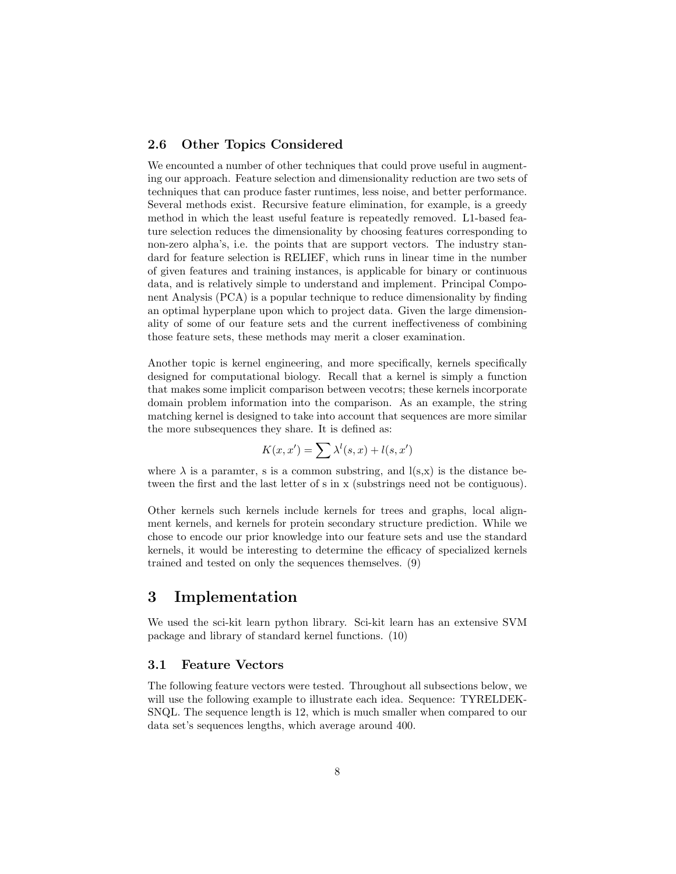## 2.6 Other Topics Considered

We encounted a number of other techniques that could prove useful in augmenting our approach. Feature selection and dimensionality reduction are two sets of techniques that can produce faster runtimes, less noise, and better performance. Several methods exist. Recursive feature elimination, for example, is a greedy method in which the least useful feature is repeatedly removed. L1-based feature selection reduces the dimensionality by choosing features corresponding to non-zero alpha's, i.e. the points that are support vectors. The industry standard for feature selection is RELIEF, which runs in linear time in the number of given features and training instances, is applicable for binary or continuous data, and is relatively simple to understand and implement. Principal Component Analysis (PCA) is a popular technique to reduce dimensionality by finding an optimal hyperplane upon which to project data. Given the large dimensionality of some of our feature sets and the current ineffectiveness of combining those feature sets, these methods may merit a closer examination.

Another topic is kernel engineering, and more specifically, kernels specifically designed for computational biology. Recall that a kernel is simply a function that makes some implicit comparison between vecotrs; these kernels incorporate domain problem information into the comparison. As an example, the string matching kernel is designed to take into account that sequences are more similar the more subsequences they share. It is defined as:

$$
K(x, x') = \sum \lambda^l(s, x) + l(s, x')
$$

where  $\lambda$  is a paramter, s is a common substring, and  $l(s,x)$  is the distance between the first and the last letter of s in x (substrings need not be contiguous).

Other kernels such kernels include kernels for trees and graphs, local alignment kernels, and kernels for protein secondary structure prediction. While we chose to encode our prior knowledge into our feature sets and use the standard kernels, it would be interesting to determine the efficacy of specialized kernels trained and tested on only the sequences themselves. (9)

# 3 Implementation

We used the sci-kit learn python library. Sci-kit learn has an extensive SVM package and library of standard kernel functions. (10)

### 3.1 Feature Vectors

The following feature vectors were tested. Throughout all subsections below, we will use the following example to illustrate each idea. Sequence: TYRELDEK-SNQL. The sequence length is 12, which is much smaller when compared to our data set's sequences lengths, which average around 400.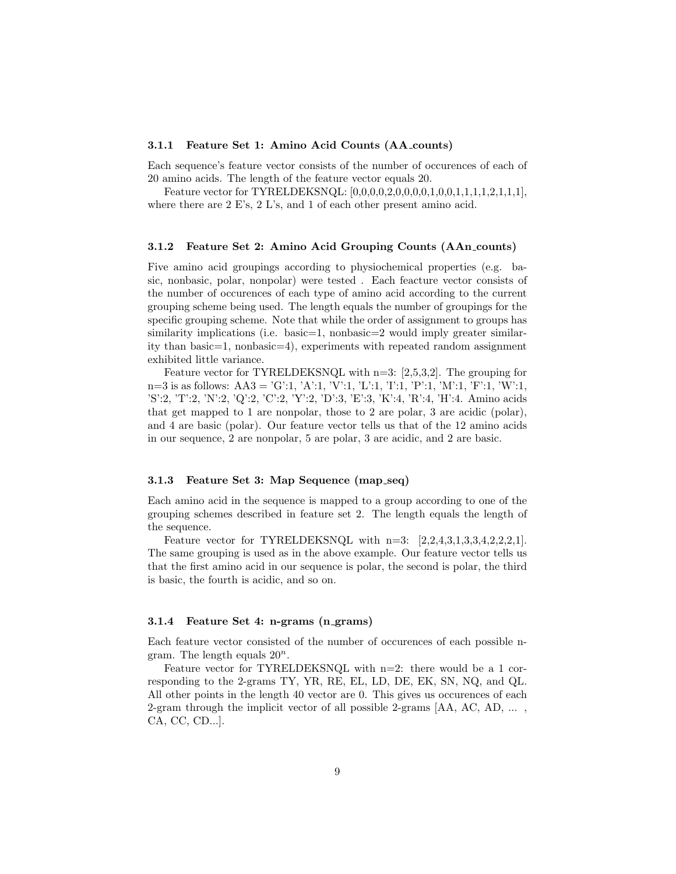#### 3.1.1 Feature Set 1: Amino Acid Counts (AA counts)

Each sequence's feature vector consists of the number of occurences of each of 20 amino acids. The length of the feature vector equals 20.

Feature vector for TYRELDEKSNQL: [0,0,0,0,0,0,0,0,0,0,0,1,0,0,1,1,1,1,2,1,1,1], where there are 2 E's, 2 L's, and 1 of each other present amino acid.

#### 3.1.2 Feature Set 2: Amino Acid Grouping Counts (AAn counts)

Five amino acid groupings according to physiochemical properties (e.g. basic, nonbasic, polar, nonpolar) were tested . Each feacture vector consists of the number of occurences of each type of amino acid according to the current grouping scheme being used. The length equals the number of groupings for the specific grouping scheme. Note that while the order of assignment to groups has similarity implications (i.e. basic=1, nonbasic=2 would imply greater similarity than basic=1, nonbasic=4), experiments with repeated random assignment exhibited little variance.

Feature vector for TYRELDEKSNQL with n=3: [2,5,3,2]. The grouping for n=3 is as follows:  $AA3 = 'G':1, 'A':1, 'V':1, 'L':1, 'I':1, 'P':1, 'M':1, 'F':1, 'W':1,$ 'S':2, 'T':2, 'N':2, 'Q':2, 'C':2, 'Y':2, 'D':3, 'E':3, 'K':4, 'R':4, 'H':4. Amino acids that get mapped to 1 are nonpolar, those to 2 are polar, 3 are acidic (polar), and 4 are basic (polar). Our feature vector tells us that of the 12 amino acids in our sequence, 2 are nonpolar, 5 are polar, 3 are acidic, and 2 are basic.

#### 3.1.3 Feature Set 3: Map Sequence (map seq)

Each amino acid in the sequence is mapped to a group according to one of the grouping schemes described in feature set 2. The length equals the length of the sequence.

Feature vector for TYRELDEKSNQL with  $n=3$ : [2,2,4,3,1,3,3,4,2,2,2,1]. The same grouping is used as in the above example. Our feature vector tells us that the first amino acid in our sequence is polar, the second is polar, the third is basic, the fourth is acidic, and so on.

#### 3.1.4 Feature Set 4: n-grams (n grams)

Each feature vector consisted of the number of occurences of each possible ngram. The length equals  $20^n$ .

Feature vector for TYRELDEKSNQL with n=2: there would be a 1 corresponding to the 2-grams TY, YR, RE, EL, LD, DE, EK, SN, NQ, and QL. All other points in the length 40 vector are 0. This gives us occurences of each 2-gram through the implicit vector of all possible 2-grams [AA, AC, AD, ... , CA, CC, CD...].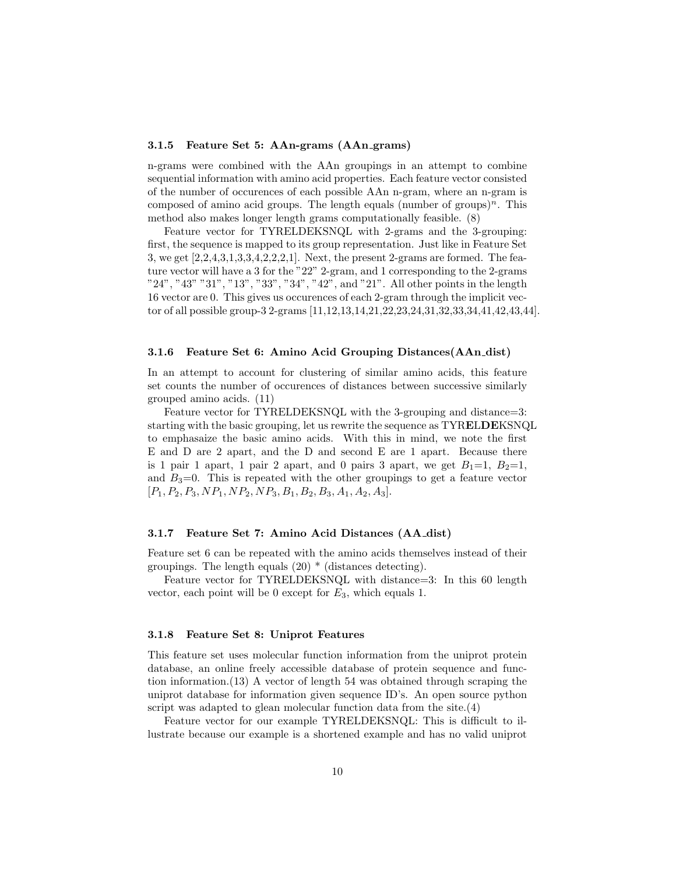#### 3.1.5 Feature Set 5: AAn-grams (AAn grams)

n-grams were combined with the AAn groupings in an attempt to combine sequential information with amino acid properties. Each feature vector consisted of the number of occurences of each possible AAn n-gram, where an n-gram is composed of amino acid groups. The length equals (number of groups)<sup>n</sup>. This method also makes longer length grams computationally feasible. (8)

Feature vector for TYRELDEKSNQL with 2-grams and the 3-grouping: first, the sequence is mapped to its group representation. Just like in Feature Set 3, we get [2,2,4,3,1,3,3,4,2,2,2,1]. Next, the present 2-grams are formed. The feature vector will have a 3 for the "22" 2-gram, and 1 corresponding to the 2-grams "24", "43" "31", "13", "33", "34", "42", and "21". All other points in the length 16 vector are 0. This gives us occurences of each 2-gram through the implicit vector of all possible group-3 2-grams [11,12,13,14,21,22,23,24,31,32,33,34,41,42,43,44].

#### 3.1.6 Feature Set 6: Amino Acid Grouping Distances(AAn dist)

In an attempt to account for clustering of similar amino acids, this feature set counts the number of occurences of distances between successive similarly grouped amino acids. (11)

Feature vector for TYRELDEKSNQL with the 3-grouping and distance=3: starting with the basic grouping, let us rewrite the sequence as TYRELDEKSNQL to emphasaize the basic amino acids. With this in mind, we note the first E and D are 2 apart, and the D and second E are 1 apart. Because there is 1 pair 1 apart, 1 pair 2 apart, and 0 pairs 3 apart, we get  $B_1=1, B_2=1,$ and  $B_3=0$ . This is repeated with the other groupings to get a feature vector  $[P_1, P_2, P_3, NP_1, NP_2, NP_3, B_1, B_2, B_3, A_1, A_2, A_3].$ 

#### 3.1.7 Feature Set 7: Amino Acid Distances (AA dist)

Feature set 6 can be repeated with the amino acids themselves instead of their groupings. The length equals  $(20)$   $*$  (distances detecting).

Feature vector for TYRELDEKSNQL with distance=3: In this 60 length vector, each point will be 0 except for  $E_3$ , which equals 1.

#### 3.1.8 Feature Set 8: Uniprot Features

This feature set uses molecular function information from the uniprot protein database, an online freely accessible database of protein sequence and function information.(13) A vector of length 54 was obtained through scraping the uniprot database for information given sequence ID's. An open source python script was adapted to glean molecular function data from the site.(4)

Feature vector for our example TYRELDEKSNQL: This is difficult to illustrate because our example is a shortened example and has no valid uniprot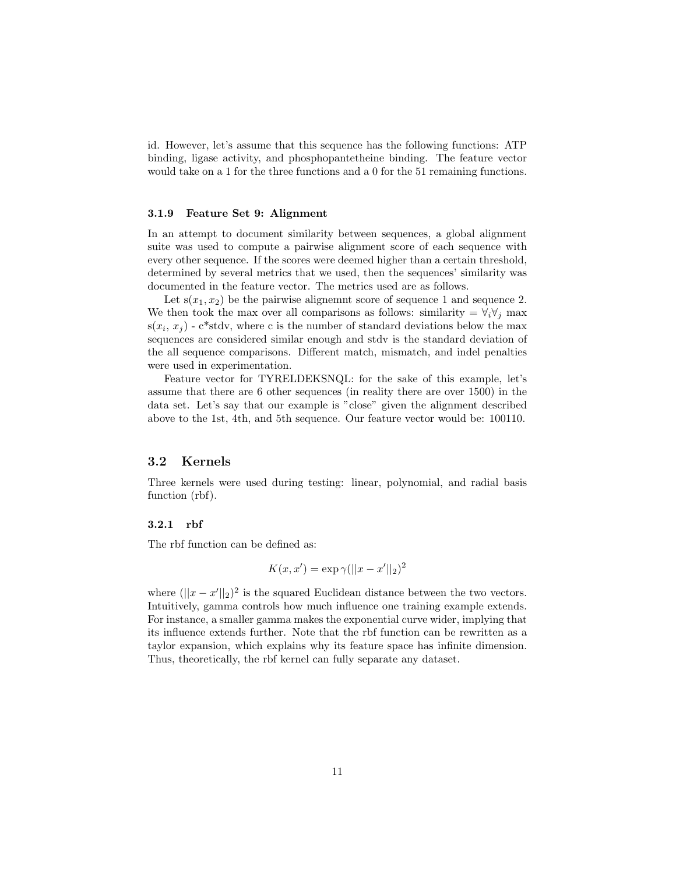id. However, let's assume that this sequence has the following functions: ATP binding, ligase activity, and phosphopantetheine binding. The feature vector would take on a 1 for the three functions and a 0 for the 51 remaining functions.

#### 3.1.9 Feature Set 9: Alignment

In an attempt to document similarity between sequences, a global alignment suite was used to compute a pairwise alignment score of each sequence with every other sequence. If the scores were deemed higher than a certain threshold, determined by several metrics that we used, then the sequences' similarity was documented in the feature vector. The metrics used are as follows.

Let  $s(x_1, x_2)$  be the pairwise alignemnt score of sequence 1 and sequence 2. We then took the max over all comparisons as follows: similarity =  $\forall_i \forall_j$  max  $s(x_i, x_j)$  - c<sup>\*</sup>stdv, where c is the number of standard deviations below the max sequences are considered similar enough and stdv is the standard deviation of the all sequence comparisons. Different match, mismatch, and indel penalties were used in experimentation.

Feature vector for TYRELDEKSNQL: for the sake of this example, let's assume that there are 6 other sequences (in reality there are over 1500) in the data set. Let's say that our example is "close" given the alignment described above to the 1st, 4th, and 5th sequence. Our feature vector would be: 100110.

## 3.2 Kernels

Three kernels were used during testing: linear, polynomial, and radial basis function (rbf).

#### 3.2.1 rbf

The rbf function can be defined as:

$$
K(x, x') = \exp \gamma (||x - x'||_2)^2
$$

where  $(||x - x'||_2)^2$  is the squared Euclidean distance between the two vectors. Intuitively, gamma controls how much influence one training example extends. For instance, a smaller gamma makes the exponential curve wider, implying that its influence extends further. Note that the rbf function can be rewritten as a taylor expansion, which explains why its feature space has infinite dimension. Thus, theoretically, the rbf kernel can fully separate any dataset.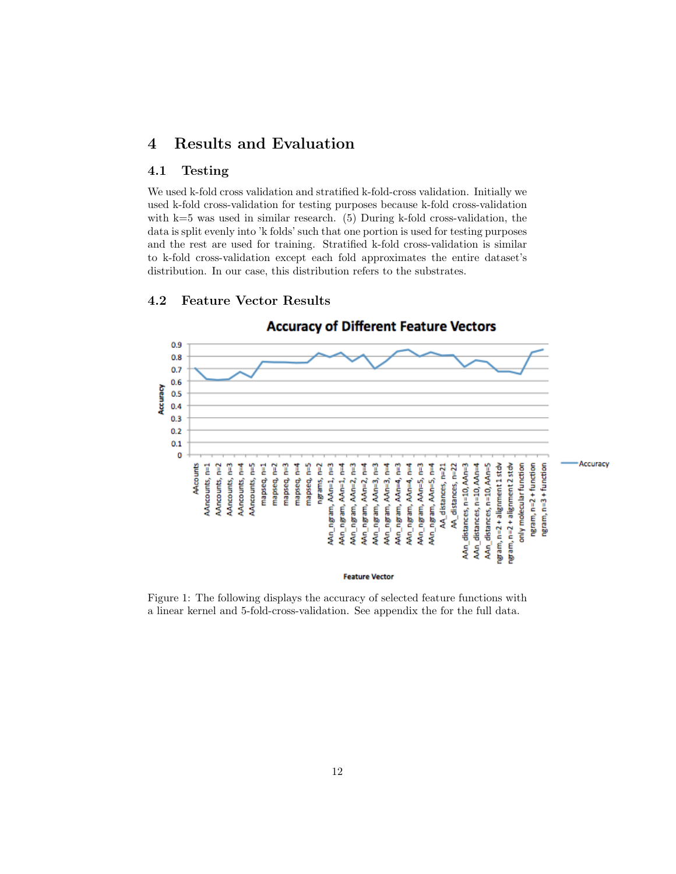# 4 Results and Evaluation

## 4.1 Testing

We used k-fold cross validation and stratified k-fold-cross validation. Initially we used k-fold cross-validation for testing purposes because k-fold cross-validation with  $k=5$  was used in similar research. (5) During k-fold cross-validation, the data is split evenly into 'k folds' such that one portion is used for testing purposes and the rest are used for training. Stratified k-fold cross-validation is similar to k-fold cross-validation except each fold approximates the entire dataset's distribution. In our case, this distribution refers to the substrates.



### 4.2 Feature Vector Results

Figure 1: The following displays the accuracy of selected feature functions with a linear kernel and 5-fold-cross-validation. See appendix the for the full data.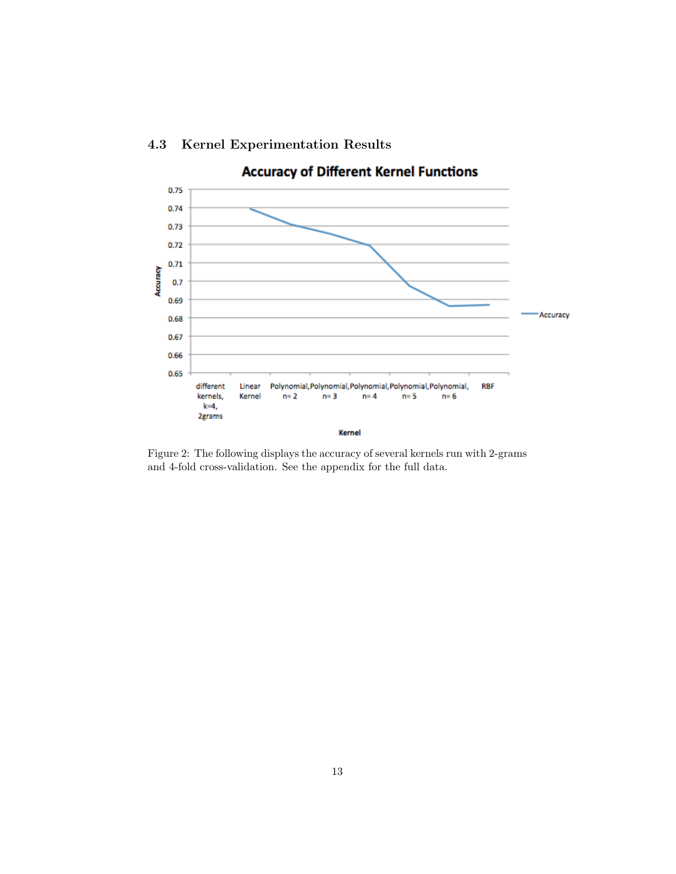

# 4.3 Kernel Experimentation Results

Figure 2: The following displays the accuracy of several kernels run with 2-grams and 4-fold cross-validation. See the appendix for the full data.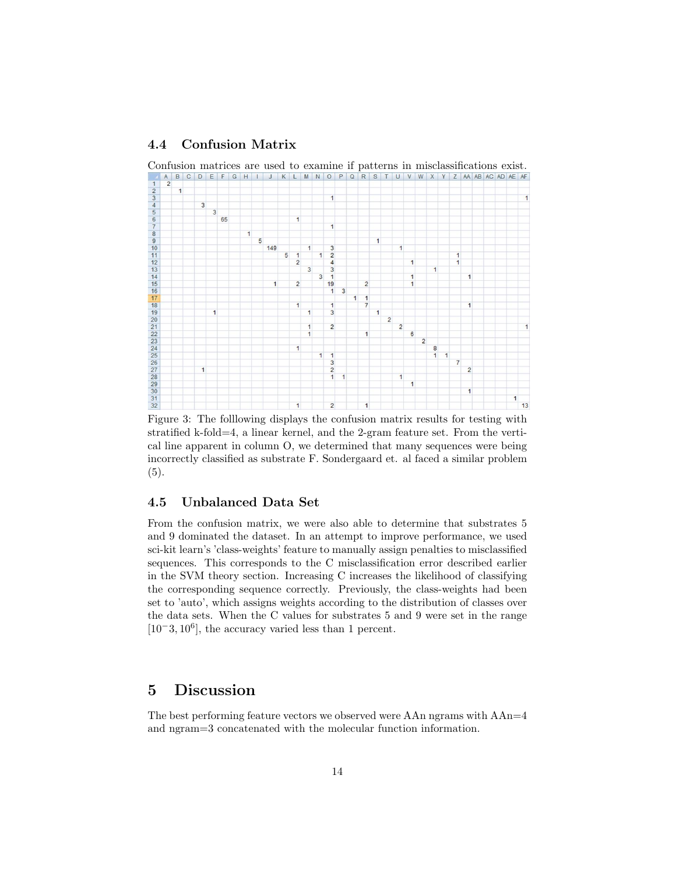## 4.4 Confusion Matrix



Figure 3: The folllowing displays the confusion matrix results for testing with stratified k-fold=4, a linear kernel, and the 2-gram feature set. From the vertical line apparent in column O, we determined that many sequences were being incorrectly classified as substrate F. Sondergaard et. al faced a similar problem (5).

## 4.5 Unbalanced Data Set

From the confusion matrix, we were also able to determine that substrates 5 and 9 dominated the dataset. In an attempt to improve performance, we used sci-kit learn's 'class-weights' feature to manually assign penalties to misclassified sequences. This corresponds to the C misclassification error described earlier in the SVM theory section. Increasing C increases the likelihood of classifying the corresponding sequence correctly. Previously, the class-weights had been set to 'auto', which assigns weights according to the distribution of classes over the data sets. When the C values for substrates 5 and 9 were set in the range  $[10^-3, 10^6]$ , the accuracy varied less than 1 percent.

# 5 Discussion

The best performing feature vectors we observed were AAn ngrams with AAn=4 and ngram=3 concatenated with the molecular function information.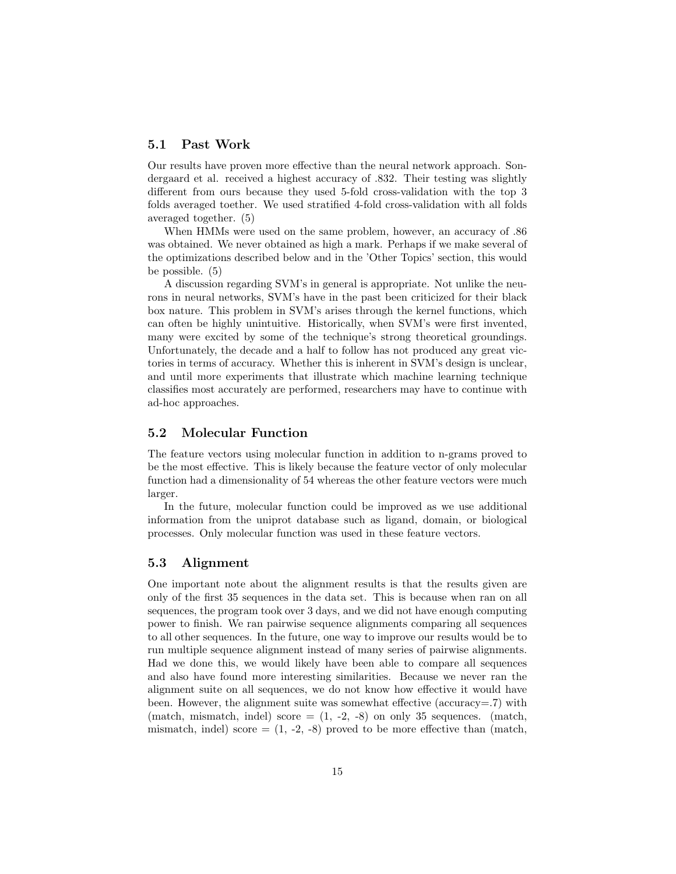## 5.1 Past Work

Our results have proven more effective than the neural network approach. Sondergaard et al. received a highest accuracy of .832. Their testing was slightly different from ours because they used 5-fold cross-validation with the top 3 folds averaged toether. We used stratified 4-fold cross-validation with all folds averaged together. (5)

When HMMs were used on the same problem, however, an accuracy of .86 was obtained. We never obtained as high a mark. Perhaps if we make several of the optimizations described below and in the 'Other Topics' section, this would be possible. (5)

A discussion regarding SVM's in general is appropriate. Not unlike the neurons in neural networks, SVM's have in the past been criticized for their black box nature. This problem in SVM's arises through the kernel functions, which can often be highly unintuitive. Historically, when SVM's were first invented, many were excited by some of the technique's strong theoretical groundings. Unfortunately, the decade and a half to follow has not produced any great victories in terms of accuracy. Whether this is inherent in SVM's design is unclear, and until more experiments that illustrate which machine learning technique classifies most accurately are performed, researchers may have to continue with ad-hoc approaches.

### 5.2 Molecular Function

The feature vectors using molecular function in addition to n-grams proved to be the most effective. This is likely because the feature vector of only molecular function had a dimensionality of 54 whereas the other feature vectors were much larger.

In the future, molecular function could be improved as we use additional information from the uniprot database such as ligand, domain, or biological processes. Only molecular function was used in these feature vectors.

## 5.3 Alignment

One important note about the alignment results is that the results given are only of the first 35 sequences in the data set. This is because when ran on all sequences, the program took over 3 days, and we did not have enough computing power to finish. We ran pairwise sequence alignments comparing all sequences to all other sequences. In the future, one way to improve our results would be to run multiple sequence alignment instead of many series of pairwise alignments. Had we done this, we would likely have been able to compare all sequences and also have found more interesting similarities. Because we never ran the alignment suite on all sequences, we do not know how effective it would have been. However, the alignment suite was somewhat effective (accuracy=.7) with (match, mismatch, indel) score  $=(1, -2, -8)$  on only 35 sequences. (match, mismatch, indel) score  $= (1, -2, -8)$  proved to be more effective than (match,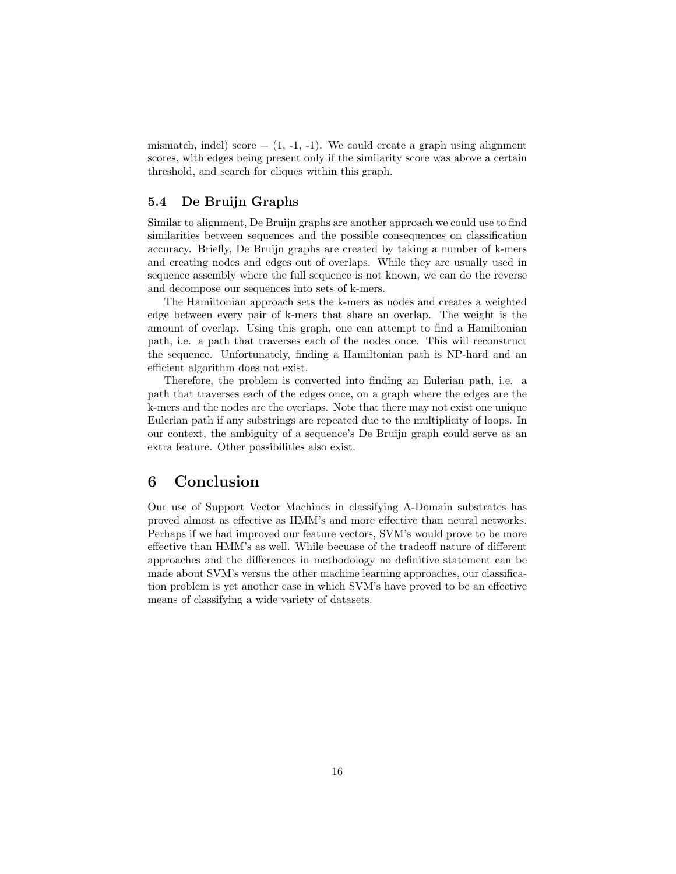mismatch, indel) score  $=(1, -1, -1)$ . We could create a graph using alignment scores, with edges being present only if the similarity score was above a certain threshold, and search for cliques within this graph.

## 5.4 De Bruijn Graphs

Similar to alignment, De Bruijn graphs are another approach we could use to find similarities between sequences and the possible consequences on classification accuracy. Briefly, De Bruijn graphs are created by taking a number of k-mers and creating nodes and edges out of overlaps. While they are usually used in sequence assembly where the full sequence is not known, we can do the reverse and decompose our sequences into sets of k-mers.

The Hamiltonian approach sets the k-mers as nodes and creates a weighted edge between every pair of k-mers that share an overlap. The weight is the amount of overlap. Using this graph, one can attempt to find a Hamiltonian path, i.e. a path that traverses each of the nodes once. This will reconstruct the sequence. Unfortunately, finding a Hamiltonian path is NP-hard and an efficient algorithm does not exist.

Therefore, the problem is converted into finding an Eulerian path, i.e. a path that traverses each of the edges once, on a graph where the edges are the k-mers and the nodes are the overlaps. Note that there may not exist one unique Eulerian path if any substrings are repeated due to the multiplicity of loops. In our context, the ambiguity of a sequence's De Bruijn graph could serve as an extra feature. Other possibilities also exist.

# 6 Conclusion

Our use of Support Vector Machines in classifying A-Domain substrates has proved almost as effective as HMM's and more effective than neural networks. Perhaps if we had improved our feature vectors, SVM's would prove to be more effective than HMM's as well. While becuase of the tradeoff nature of different approaches and the differences in methodology no definitive statement can be made about SVM's versus the other machine learning approaches, our classification problem is yet another case in which SVM's have proved to be an effective means of classifying a wide variety of datasets.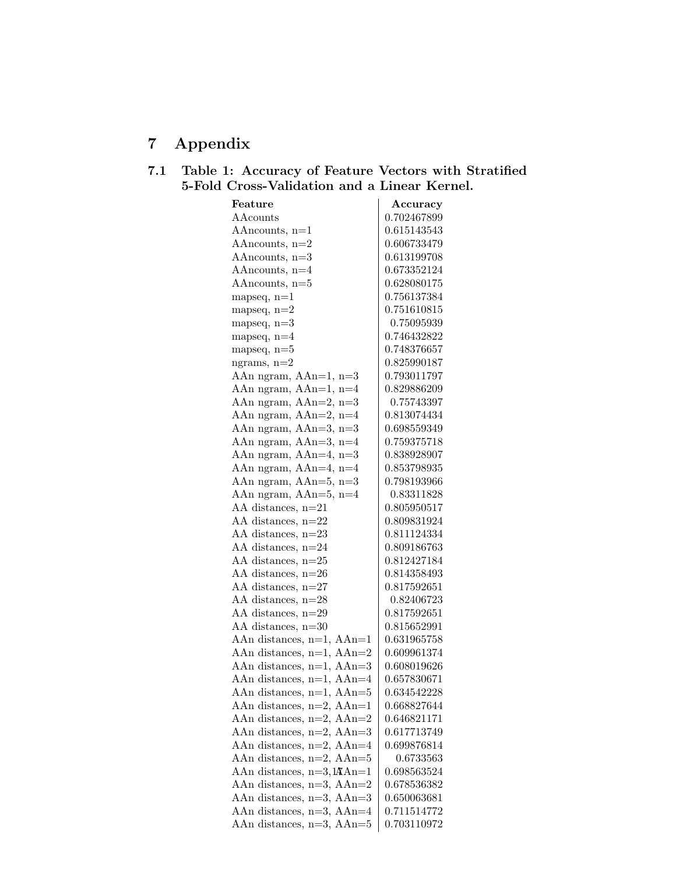# 7 Appendix

# 7.1 Table 1: Accuracy of Feature Vectors with Stratified 5-Fold Cross-Validation and a Linear Kernel.

| Feature                                   | Accuracy    |
|-------------------------------------------|-------------|
| $\rm AACounts$                            | 0.702467899 |
| AA $n$ counts, $n=1$                      | 0.615143543 |
| AA $n$ counts, $n=2$                      | 0.606733479 |
| AAncounts, n=3                            | 0.613199708 |
| AAncounts, n=4                            | 0.673352124 |
| AAncounts, n=5                            | 0.628080175 |
| mapseq, $n=1$                             | 0.756137384 |
| mapseq, $n=2$                             | 0.751610815 |
| mapseq, $n=3$                             | 0.75095939  |
| mapseq, $n=4$                             | 0.746432822 |
| mapseq, $n=5$                             | 0.748376657 |
| ngrams, $n=2$                             | 0.825990187 |
| AAn ngram, AAn=1, n=3                     | 0.793011797 |
| AAn ngram, AAn=1, n=4                     | 0.829886209 |
| AAn ngram, AAn=2, n=3                     | 0.75743397  |
| AAn ngram, AAn=2, n=4                     | 0.813074434 |
| AAn ngram, AAn=3, n=3                     | 0.698559349 |
| AAn ngram, AAn=3, n=4                     | 0.759375718 |
| AAn ngram, AAn=4, n=3                     | 0.838928907 |
| AAn ngram, AAn=4, n=4                     | 0.853798935 |
| AAn ngram, AAn=5, n=3                     | 0.798193966 |
| AAn ngram, AAn=5, n=4                     | 0.83311828  |
| AA distances, $n=21$                      | 0.805950517 |
| AA distances, $n=22$                      | 0.809831924 |
| AA distances, $n=23$                      | 0.811124334 |
| AA distances, $n=24$                      | 0.809186763 |
| AA distances, $n=25$                      | 0.812427184 |
| AA distances, $n=26$                      | 0.814358493 |
| AA distances, $n=27$                      | 0.817592651 |
| AA distances, $n=28$                      | 0.82406723  |
| AA distances, $n=29$                      | 0.817592651 |
| AA distances, $n=30$                      | 0.815652991 |
| AAn distances, $n=1$ , AAn=1              | 0.631965758 |
| AAn distances, $n=1$ , AAn=2              | 0.609961374 |
| AAn distances, n=1, AAn=3                 | 0.608019626 |
| AAn distances, $n=1$ , AAn=4              | 0.657830671 |
| AAn distances, n=1, AAn=5                 | 0.634542228 |
| AAn distances, $n=2$ , AAn=1              | 0.668827644 |
| AAn distances, $n=2$ , AAn=2              | 0.646821171 |
| AAn distances, $n=2$ , AAn=3              | 0.617713749 |
| AAn distances, $n=2$ , AAn=4              | 0.699876814 |
| AAn distances, $n=2$ , AAn=5              | 0.6733563   |
| AAn distances, $n=3$ , $l\mathbf{A}$ An=1 | 0.698563524 |
| AAn distances, $n=3$ , $AAn=2$            | 0.678536382 |
| AAn distances, n=3, AAn=3                 | 0.650063681 |
| AAn distances, n=3, AAn=4                 | 0.711514772 |
| AAn distances, n=3, AAn=5                 | 0.703110972 |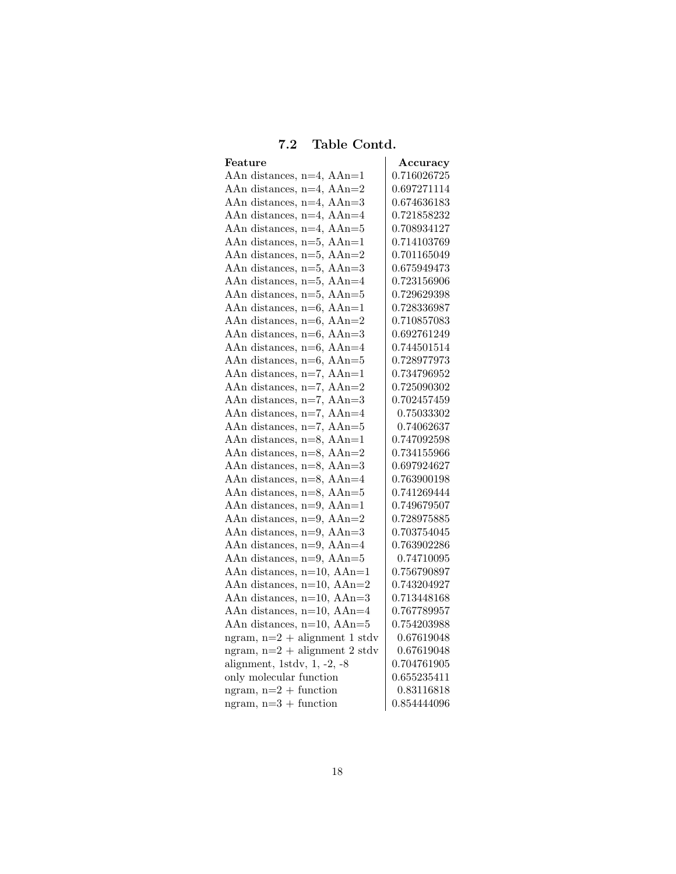# 7.2 Table Contd.

| Feature                         | Accuracy    |
|---------------------------------|-------------|
| AAn distances, $n=4$ , AAn=1    | 0.716026725 |
| AAn distances, $n=4$ , AAn=2    | 0.697271114 |
| AAn distances, $n=4$ , AAn=3    | 0.674636183 |
| AAn distances, $n=4$ , AAn=4    | 0.721858232 |
| AAn distances, $n=4$ , AAn=5    | 0.708934127 |
| AAn distances, $n=5$ , AAn=1    | 0.714103769 |
| AAn distances, $n=5$ , AAn=2    | 0.701165049 |
| AAn distances, $n=5$ , AAn=3    | 0.675949473 |
| AAn distances, $n=5$ , AAn=4    | 0.723156906 |
| AAn distances, $n=5$ , AAn=5    | 0.729629398 |
| AAn distances, $n=6$ , AAn=1    | 0.728336987 |
| AAn distances, $n=6$ , AAn=2    | 0.710857083 |
| AAn distances, $n=6$ , AAn=3    | 0.692761249 |
| AAn distances, $n=6$ , AAn=4    | 0.744501514 |
| AAn distances, $n=6$ , AAn=5    | 0.728977973 |
| AAn distances, $n=7$ , AAn=1    | 0.734796952 |
| AAn distances, $n=7$ , AAn=2    | 0.725090302 |
| AAn distances, $n=7$ , AAn=3    | 0.702457459 |
| AAn distances, $n=7$ , AAn=4    | 0.75033302  |
| AAn distances, $n=7$ , AAn=5    | 0.74062637  |
| AAn distances, $n=8$ , AAn=1    | 0.747092598 |
| AAn distances, $n=8$ , AAn=2    | 0.734155966 |
| AAn distances, $n=8$ , AAn=3    | 0.697924627 |
| AAn distances, $n=8$ , AAn=4    | 0.763900198 |
| AAn distances, $n=8$ , AAn=5    | 0.741269444 |
| AAn distances, $n=9$ , AAn=1    | 0.749679507 |
| AAn distances, $n=9$ , $AAn=2$  | 0.728975885 |
| AAn distances, $n=9$ , AAn=3    | 0.703754045 |
| AAn distances, n=9, AAn=4       | 0.763902286 |
| AAn distances, n=9, AAn=5       | 0.74710095  |
| AAn distances, n=10, AAn=1      | 0.756790897 |
| AAn distances, n=10, AAn=2      | 0.743204927 |
| AAn distances, $n=10$ , $AAn=3$ | 0.713448168 |
| AAn distances, $n=10$ , $AAn=4$ | 0.767789957 |
| AAn distances, $n=10$ , $AAn=5$ | 0.754203988 |
| ngram, $n=2 +$ alignment 1 stdv | 0.67619048  |
| ngram, $n=2 +$ alignment 2 stdv | 0.67619048  |
| alignment, 1stdv, $1, -2, -8$   | 0.704761905 |
| only molecular function         | 0.655235411 |
| ngram, $n=2 +$ function         | 0.83116818  |
| ngram, $n=3 +$ function         | 0.854444096 |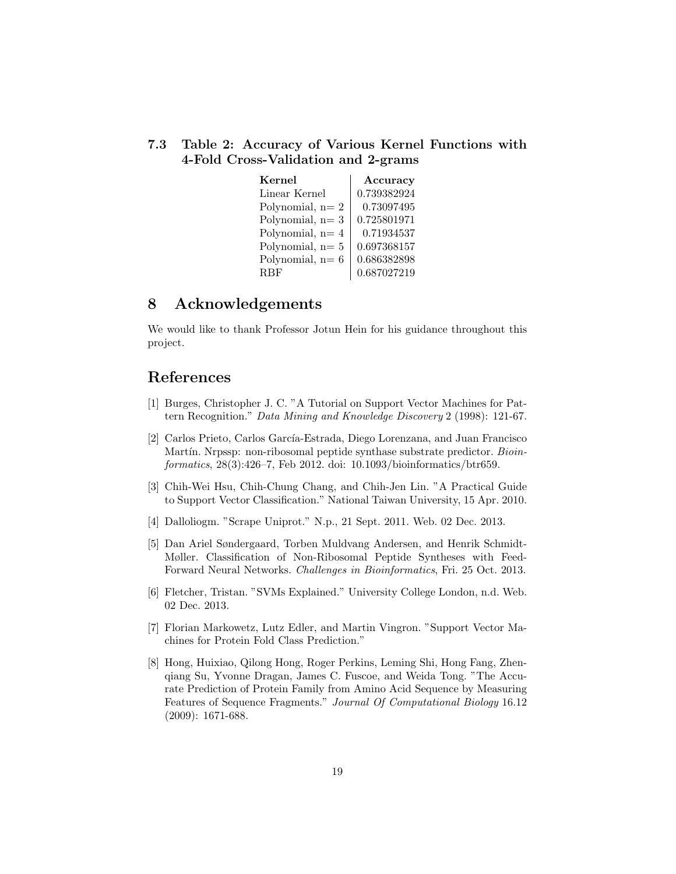## 7.3 Table 2: Accuracy of Various Kernel Functions with 4-Fold Cross-Validation and 2-grams

| Kernel            | Accuracy    |  |
|-------------------|-------------|--|
| Linear Kernel     | 0.739382924 |  |
| Polynomial, $n=2$ | 0.73097495  |  |
| Polynomial, $n=3$ | 0.725801971 |  |
| Polynomial, $n=4$ | 0.71934537  |  |
| Polynomial, $n=5$ | 0.697368157 |  |
| Polynomial, $n=6$ | 0.686382898 |  |
| <b>RBF</b>        | 0.687027219 |  |

# 8 Acknowledgements

We would like to thank Professor Jotun Hein for his guidance throughout this project.

# References

- [1] Burges, Christopher J. C. "A Tutorial on Support Vector Machines for Pattern Recognition." Data Mining and Knowledge Discovery 2 (1998): 121-67.
- [2] Carlos Prieto, Carlos García-Estrada, Diego Lorenzana, and Juan Francisco Martín. Nrpssp: non-ribosomal peptide synthase substrate predictor. Bioinformatics, 28(3):426–7, Feb 2012. doi: 10.1093/bioinformatics/btr659.
- [3] Chih-Wei Hsu, Chih-Chung Chang, and Chih-Jen Lin. "A Practical Guide to Support Vector Classification." National Taiwan University, 15 Apr. 2010.
- [4] Dalloliogm. "Scrape Uniprot." N.p., 21 Sept. 2011. Web. 02 Dec. 2013.
- [5] Dan Ariel Søndergaard, Torben Muldvang Andersen, and Henrik Schmidt-Møller. Classification of Non-Ribosomal Peptide Syntheses with Feed-Forward Neural Networks. Challenges in Bioinformatics, Fri. 25 Oct. 2013.
- [6] Fletcher, Tristan. "SVMs Explained." University College London, n.d. Web. 02 Dec. 2013.
- [7] Florian Markowetz, Lutz Edler, and Martin Vingron. "Support Vector Machines for Protein Fold Class Prediction."
- [8] Hong, Huixiao, Qilong Hong, Roger Perkins, Leming Shi, Hong Fang, Zhenqiang Su, Yvonne Dragan, James C. Fuscoe, and Weida Tong. "The Accurate Prediction of Protein Family from Amino Acid Sequence by Measuring Features of Sequence Fragments." Journal Of Computational Biology 16.12 (2009): 1671-688.